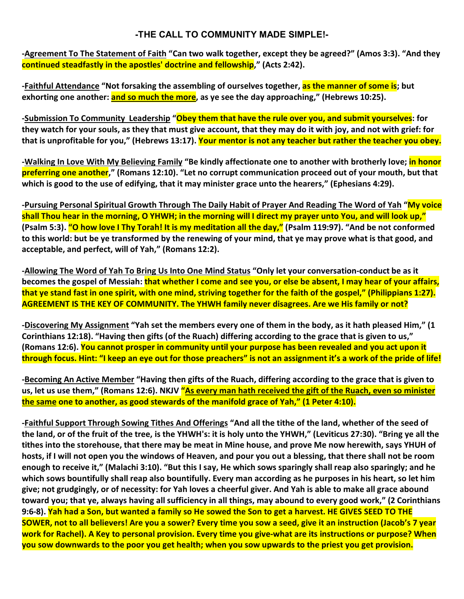## **-THE CALL TO COMMUNITY MADE SIMPLE!-**

**-Agreement To The Statement of Faith "Can two walk together, except they be agreed?" (Amos 3:3). "And they continued steadfastly in the apostles' doctrine and fellowship," (Acts 2:42).** 

**-Faithful Attendance "Not forsaking the assembling of ourselves together, as the manner of some is; but**  exhorting one another: **and so much the more**, as ye see the day approaching," (Hebrews 10:25).

**-Submission To Community Leadership "Obey them that have the rule over you, and submit yourselves: for they watch for your souls, as they that must give account, that they may do it with joy, and not with grief: for that is unprofitable for you," (Hebrews 13:17). Your mentor is not any teacher but rather the teacher you obey.**

**-Walking In Love With My Believing Family "Be kindly affectionate one to another with brotherly love; in honor preferring one another," (Romans 12:10). "Let no corrupt communication proceed out of your mouth, but that which is good to the use of edifying, that it may minister grace unto the hearers," (Ephesians 4:29).** 

**-Pursuing Personal Spiritual Growth Through The Daily Habit of Prayer And Reading The Word of Yah "My voice shall Thou hear in the morning, O YHWH; in the morning will I direct my prayer unto You, and will look up," (Psalm 5:3). "O how love I Thy Torah! It is my meditation all the day," (Psalm 119:97). "And be not conformed to this world: but be ye transformed by the renewing of your mind, that ye may prove what is that good, and acceptable, and perfect, will of Yah," (Romans 12:2).** 

**-Allowing The Word of Yah To Bring Us Into One Mind Status "Only let your conversation-conduct be as it becomes the gospel of Messiah: that whether I come and see you, or else be absent, I may hear of your affairs, that ye stand fast in one spirit, with one mind, striving together for the faith of the gospel," (Philippians 1:27). AGREEMENT IS THE KEY OF COMMUNITY. The YHWH family never disagrees. Are we His family or not?**

**-Discovering My Assignment "Yah set the members every one of them in the body, as it hath pleased Him," (1 Corinthians 12:18). "Having then gifts (of the Ruach) differing according to the grace that is given to us," (Romans 12:6). You cannot prosper in community until your purpose has been revealed and you act upon it through focus. Hint: "I keep an eye out for those preachers" is not an assignment it's a work of the pride of life!**

**-Becoming An Active Member "Having then gifts of the Ruach, differing according to the grace that is given to**  us, let us use them," (Romans 12:6). NKJV "As every man hath received the gift of the Ruach, even so minister **the same one to another, as good stewards of the manifold grace of Yah," (1 Peter 4:10).**

**-Faithful Support Through Sowing Tithes And Offerings "And all the tithe of the land, whether of the seed of the land, or of the fruit of the tree, is the YHWH's: it is holy unto the YHWH," (Leviticus 27:30). "Bring ye all the tithes into the storehouse, that there may be meat in Mine house, and prove Me now herewith, says YHUH of hosts, if I will not open you the windows of Heaven, and pour you out a blessing, that there shall not be room enough to receive it," (Malachi 3:10). "But this I say, He which sows sparingly shall reap also sparingly; and he which sows bountifully shall reap also bountifully. Every man according as he purposes in his heart, so let him give; not grudgingly, or of necessity: for Yah loves a cheerful giver. And Yah is able to make all grace abound toward you; that ye, always having all sufficiency in all things, may abound to every good work," (2 Corinthians 9:6-8). Yah had a Son, but wanted a family so He sowed the Son to get a harvest. HE GIVES SEED TO THE SOWER, not to all believers! Are you a sower? Every time you sow a seed, give it an instruction (Jacob's 7 year work for Rachel). A Key to personal provision. Every time you give-what are its instructions or purpose? When you sow downwards to the poor you get health; when you sow upwards to the priest you get provision.**